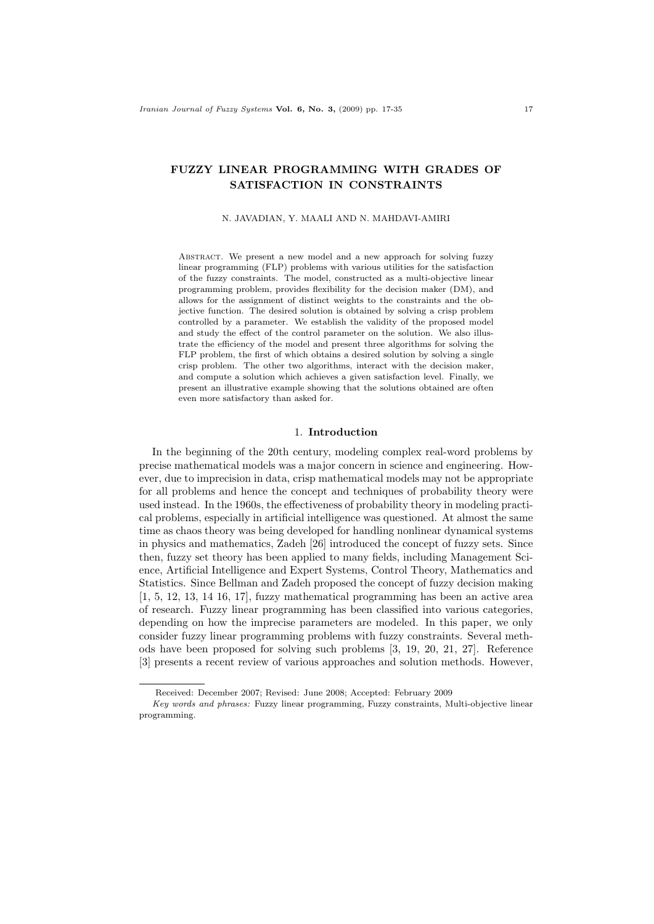# FUZZY LINEAR PROGRAMMING WITH GRADES OF SATISFACTION IN CONSTRAINTS

#### N. JAVADIAN, Y. MAALI AND N. MAHDAVI-AMIRI

ABSTRACT. We present a new model and a new approach for solving fuzzy linear programming (FLP) problems with various utilities for the satisfaction of the fuzzy constraints. The model, constructed as a multi-objective linear programming problem, provides flexibility for the decision maker (DM), and allows for the assignment of distinct weights to the constraints and the objective function. The desired solution is obtained by solving a crisp problem controlled by a parameter. We establish the validity of the proposed model and study the effect of the control parameter on the solution. We also illustrate the efficiency of the model and present three algorithms for solving the FLP problem, the first of which obtains a desired solution by solving a single crisp problem. The other two algorithms, interact with the decision maker, and compute a solution which achieves a given satisfaction level. Finally, we present an illustrative example showing that the solutions obtained are often even more satisfactory than asked for.

## 1. Introduction

In the beginning of the 20th century, modeling complex real-word problems by precise mathematical models was a major concern in science and engineering. However, due to imprecision in data, crisp mathematical models may not be appropriate for all problems and hence the concept and techniques of probability theory were used instead. In the 1960s, the effectiveness of probability theory in modeling practical problems, especially in artificial intelligence was questioned. At almost the same time as chaos theory was being developed for handling nonlinear dynamical systems in physics and mathematics, Zadeh [26] introduced the concept of fuzzy sets. Since then, fuzzy set theory has been applied to many fields, including Management Science, Artificial Intelligence and Expert Systems, Control Theory, Mathematics and Statistics. Since Bellman and Zadeh proposed the concept of fuzzy decision making [1, 5, 12, 13, 14 16, 17], fuzzy mathematical programming has been an active area of research. Fuzzy linear programming has been classified into various categories, depending on how the imprecise parameters are modeled. In this paper, we only consider fuzzy linear programming problems with fuzzy constraints. Several methods have been proposed for solving such problems [3, 19, 20, 21, 27]. Reference [3] presents a recent review of various approaches and solution methods. However,

Received: December 2007; Revised: June 2008; Accepted: February 2009

Key words and phrases: Fuzzy linear programming, Fuzzy constraints, Multi-objective linear programming.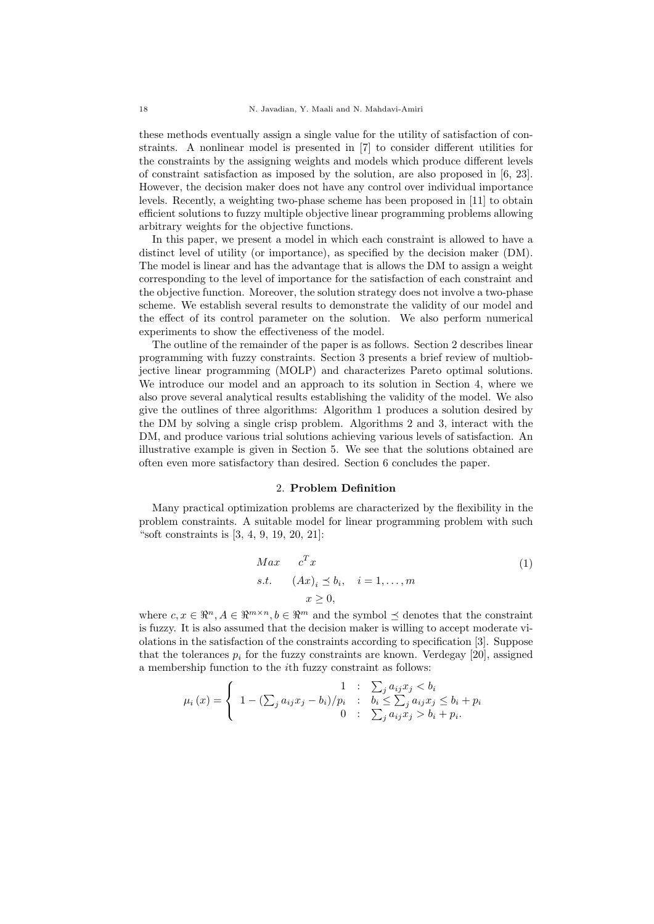these methods eventually assign a single value for the utility of satisfaction of constraints. A nonlinear model is presented in [7] to consider different utilities for the constraints by the assigning weights and models which produce different levels of constraint satisfaction as imposed by the solution, are also proposed in [6, 23]. However, the decision maker does not have any control over individual importance levels. Recently, a weighting two-phase scheme has been proposed in [11] to obtain efficient solutions to fuzzy multiple objective linear programming problems allowing arbitrary weights for the objective functions.

In this paper, we present a model in which each constraint is allowed to have a distinct level of utility (or importance), as specified by the decision maker (DM). The model is linear and has the advantage that is allows the DM to assign a weight corresponding to the level of importance for the satisfaction of each constraint and the objective function. Moreover, the solution strategy does not involve a two-phase scheme. We establish several results to demonstrate the validity of our model and the effect of its control parameter on the solution. We also perform numerical experiments to show the effectiveness of the model.

The outline of the remainder of the paper is as follows. Section 2 describes linear programming with fuzzy constraints. Section 3 presents a brief review of multiobjective linear programming (MOLP) and characterizes Pareto optimal solutions. We introduce our model and an approach to its solution in Section 4, where we also prove several analytical results establishing the validity of the model. We also give the outlines of three algorithms: Algorithm 1 produces a solution desired by the DM by solving a single crisp problem. Algorithms 2 and 3, interact with the DM, and produce various trial solutions achieving various levels of satisfaction. An illustrative example is given in Section 5. We see that the solutions obtained are often even more satisfactory than desired. Section 6 concludes the paper.

### 2. Problem Definition

Many practical optimization problems are characterized by the flexibility in the problem constraints. A suitable model for linear programming problem with such "soft constraints is [3, 4, 9, 19, 20, 21]:

$$
Max \t CTxs.t. \t $(Ax)_i \leq b_i, \quad i = 1,...,m$   
 $x \geq 0,$  (1)
$$

where  $c, x \in \mathbb{R}^n, A \in \mathbb{R}^{m \times n}, b \in \mathbb{R}^m$  and the symbol  $\preceq$  denotes that the constraint is fuzzy. It is also assumed that the decision maker is willing to accept moderate violations in the satisfaction of the constraints according to specification [3]. Suppose that the tolerances  $p_i$  for the fuzzy constraints are known. Verdegay [20], assigned a membership function to the ith fuzzy constraint as follows:

$$
\mu_i(x) = \begin{cases}\n1 & \text{if } \sum_j a_{ij} x_j < b_i \\
1 - (\sum_j a_{ij} x_j - b_i) / p_i & \text{if } \sum_j a_{ij} x_j \le b_i + p_i \\
0 & \text{if } \sum_j a_{ij} x_j > b_i + p_i.\n\end{cases}
$$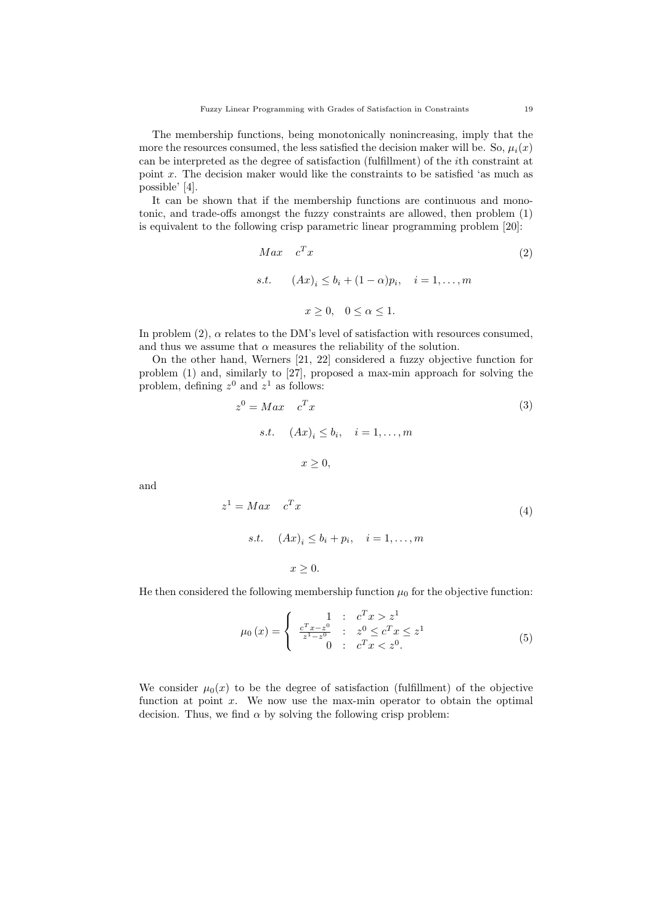The membership functions, being monotonically nonincreasing, imply that the more the resources consumed, the less satisfied the decision maker will be. So,  $\mu_i(x)$ can be interpreted as the degree of satisfaction (fulfillment) of the ith constraint at point  $x$ . The decision maker would like the constraints to be satisfied 'as much as possible' [4].

It can be shown that if the membership functions are continuous and monotonic, and trade-offs amongst the fuzzy constraints are allowed, then problem (1) is equivalent to the following crisp parametric linear programming problem [20]:

$$
Max \t cTx
$$
  
s.t. 
$$
(Ax)_i \le b_i + (1 - \alpha)p_i, \quad i = 1,..., m
$$

$$
x \ge 0, \quad 0 \le \alpha \le 1.
$$
 (2)

In problem  $(2)$ ,  $\alpha$  relates to the DM's level of satisfaction with resources consumed, and thus we assume that  $\alpha$  measures the reliability of the solution.

On the other hand, Werners [21, 22] considered a fuzzy objective function for problem (1) and, similarly to [27], proposed a max-min approach for solving the problem, defining  $z^0$  and  $z^1$  as follows:

$$
z^{0} = Max \t c^{T} x
$$
  
s.t.  $(Ax)_{i} \le b_{i}, \t i = 1,..., m$   
 $x \ge 0,$ 

and

$$
z^{1} = Max \t c^{T} x
$$
  
s.t. 
$$
(Ax)_{i} \leq b_{i} + p_{i}, \quad i = 1, ..., m
$$

$$
x \geq 0.
$$

$$
(4)
$$

He then considered the following membership function  $\mu_0$  for the objective function:

$$
\mu_0(x) = \begin{cases}\n1: & c^T x > z^1 \\
\frac{c^T x - z^0}{z^1 - z^0} & : & z^0 \le c^T x \le z^1 \\
0: & c^T x < z^0.\n\end{cases}
$$
\n(5)

We consider  $\mu_0(x)$  to be the degree of satisfaction (fulfillment) of the objective function at point  $x$ . We now use the max-min operator to obtain the optimal decision. Thus, we find  $\alpha$  by solving the following crisp problem: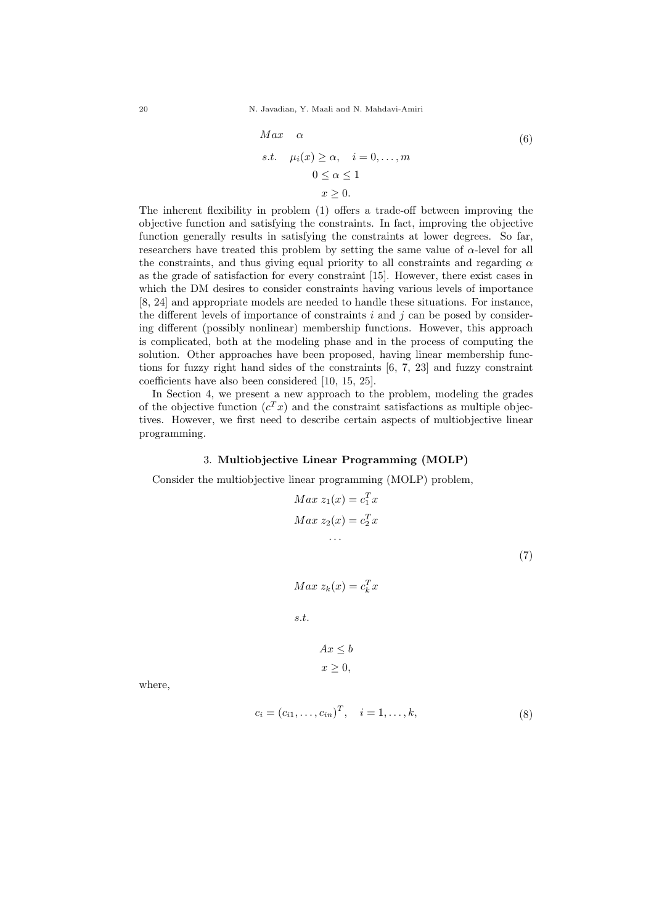20 N. Javadian, Y. Maali and N. Mahdavi-Amiri

$$
Max \quad \alpha
$$
  
s.t.  $\mu_i(x) \ge \alpha, \quad i = 0, ..., m$   
 $0 \le \alpha \le 1$   
 $x \ge 0.$  (6)

The inherent flexibility in problem (1) offers a trade-off between improving the objective function and satisfying the constraints. In fact, improving the objective function generally results in satisfying the constraints at lower degrees. So far, researchers have treated this problem by setting the same value of  $\alpha$ -level for all the constraints, and thus giving equal priority to all constraints and regarding  $\alpha$ as the grade of satisfaction for every constraint [15]. However, there exist cases in which the DM desires to consider constraints having various levels of importance [8, 24] and appropriate models are needed to handle these situations. For instance, the different levels of importance of constraints  $i$  and  $j$  can be posed by considering different (possibly nonlinear) membership functions. However, this approach is complicated, both at the modeling phase and in the process of computing the solution. Other approaches have been proposed, having linear membership functions for fuzzy right hand sides of the constraints [6, 7, 23] and fuzzy constraint coefficients have also been considered [10, 15, 25].

In Section 4, we present a new approach to the problem, modeling the grades of the objective function  $(c^T x)$  and the constraint satisfactions as multiple objectives. However, we first need to describe certain aspects of multiobjective linear programming.

### 3. Multiobjective Linear Programming (MOLP)

Consider the multiobjective linear programming (MOLP) problem,

$$
Max z1(x) = c1Tx
$$

$$
Max z2(x) = c2Tx
$$

$$
\dots
$$

(7)

$$
Max\ z_k(x) = c_k^T x
$$

s.t.

$$
Ax \le b
$$

$$
x \ge 0,
$$

where,

$$
c_i = (c_{i1}, \dots, c_{in})^T, \quad i = 1, \dots, k,
$$
\n(8)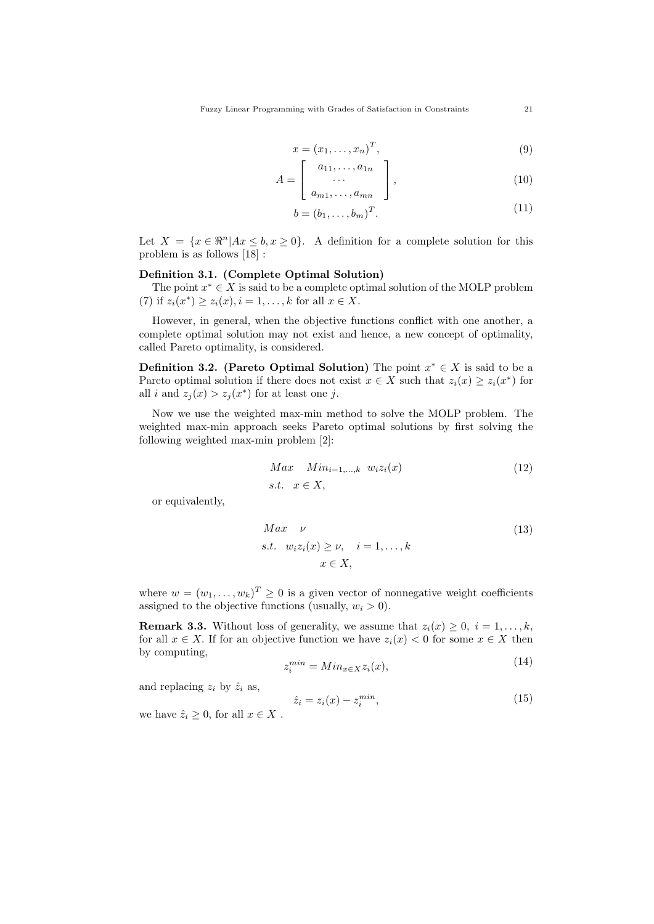$$
x = (x_1, \dots, x_n)^T, \tag{9}
$$

$$
A = \left[ \begin{array}{c} a_{11}, \dots, a_{1n} \\ \dots \\ a_{m1}, \dots, a_{mn} \end{array} \right], \tag{10}
$$

$$
b = (b_1, \dots, b_m)^T. \tag{11}
$$

Let  $X = \{x \in \Re^n | Ax \leq b, x \geq 0\}.$  A definition for a complete solution for this problem is as follows [18] :

# Definition 3.1. (Complete Optimal Solution)

The point  $x^* \in X$  is said to be a complete optimal solution of the MOLP problem (7) if  $z_i(x^*) \ge z_i(x), i = 1, ..., k$  for all  $x \in X$ .

However, in general, when the objective functions conflict with one another, a complete optimal solution may not exist and hence, a new concept of optimality, called Pareto optimality, is considered.

**Definition 3.2.** (Pareto Optimal Solution) The point  $x^* \in X$  is said to be a Pareto optimal solution if there does not exist  $x \in X$  such that  $z_i(x) \geq z_i(x^*)$  for all i and  $z_j(x) > z_j(x^*)$  for at least one j.

Now we use the weighted max-min method to solve the MOLP problem. The weighted max-min approach seeks Pareto optimal solutions by first solving the following weighted max-min problem [2]:

$$
Max \quad Min_{i=1,\dots,k} \quad w_i z_i(x) \tag{12}
$$
  
s.t.  $x \in X$ ,

or equivalently,

$$
Max \quad \nu
$$
  
s.t.  $w_i z_i(x) \ge \nu, \quad i = 1, ..., k$   
 $x \in X,$  (13)

where  $w = (w_1, \ldots, w_k)^T \geq 0$  is a given vector of nonnegative weight coefficients assigned to the objective functions (usually,  $w_i > 0$ ).

**Remark 3.3.** Without loss of generality, we assume that  $z_i(x) \geq 0$ ,  $i = 1, \ldots, k$ , for all  $x \in X$ . If for an objective function we have  $z_i(x) < 0$  for some  $x \in X$  then by computing,  $(14)$ 

$$
z_i^{min} = Min_{x \in X} z_i(x), \tag{14}
$$

and replacing  $z_i$  by  $\hat{z}_i$  as,

$$
\hat{z}_i = z_i(x) - z_i^{min},\tag{15}
$$

we have  $\hat{z}_i \geq 0$ , for all  $x \in X$ .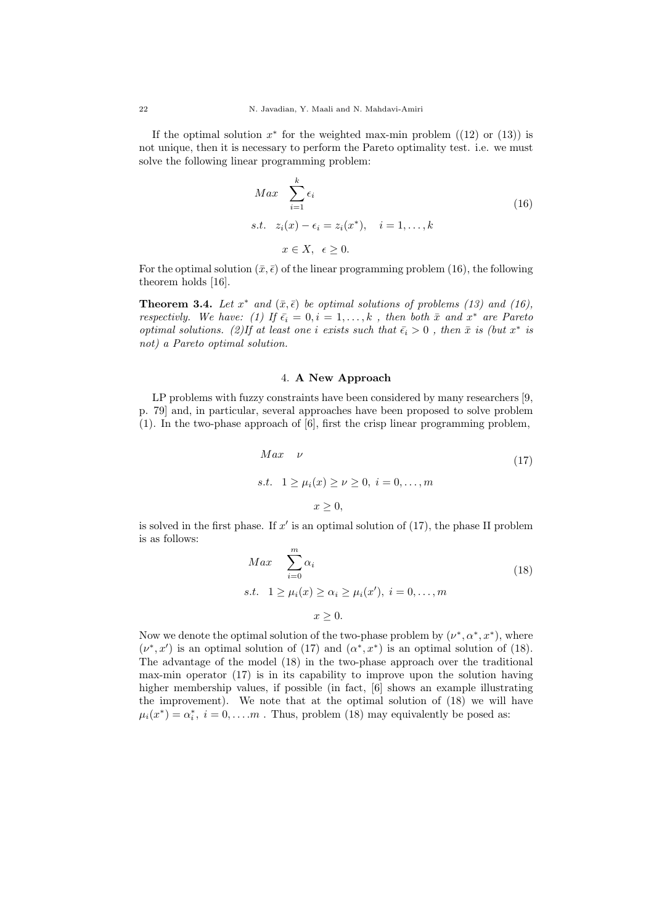If the optimal solution  $x^*$  for the weighted max-min problem  $((12)$  or  $(13))$  is not unique, then it is necessary to perform the Pareto optimality test. i.e. we must solve the following linear programming problem:

$$
Max \sum_{i=1}^{k} \epsilon_i
$$
  
s.t.  $z_i(x) - \epsilon_i = z_i(x^*), \quad i = 1, ..., k$   
 $x \in X, \quad \epsilon \ge 0.$  (16)

For the optimal solution  $(\bar{x}, \bar{\epsilon})$  of the linear programming problem (16), the following theorem holds [16].

**Theorem 3.4.** Let  $x^*$  and  $(\bar{x}, \bar{\epsilon})$  be optimal solutions of problems (13) and (16), respectivly. We have: (1) If  $\bar{\epsilon}_i = 0, i = 1, ..., k$ , then both  $\bar{x}$  and  $x^*$  are Pareto optimal solutions. (2)If at least one i exists such that  $\bar{\epsilon}_i > 0$ , then  $\bar{x}$  is (but  $x^*$  is not) a Pareto optimal solution.

### 4. A New Approach

LP problems with fuzzy constraints have been considered by many researchers [9, p. 79] and, in particular, several approaches have been proposed to solve problem (1). In the two-phase approach of [6], first the crisp linear programming problem,

$$
Max \quad \nu
$$
  
s.t.  $1 \ge \mu_i(x) \ge \nu \ge 0, \ i = 0, ..., m$   
 $x \ge 0,$  (17)

is solved in the first phase. If  $x'$  is an optimal solution of  $(17)$ , the phase II problem is as follows:

$$
Max \sum_{i=0}^{m} \alpha_i
$$
  
s.t.  $1 \ge \mu_i(x) \ge \alpha_i \ge \mu_i(x')$ ,  $i = 0, ..., m$   
 $x \ge 0$ . (18)

Now we denote the optimal solution of the two-phase problem by  $(\nu^*, \alpha^*, x^*)$ , where  $(\nu^*, x')$  is an optimal solution of (17) and  $(\alpha^*, x^*)$  is an optimal solution of (18). The advantage of the model (18) in the two-phase approach over the traditional max-min operator (17) is in its capability to improve upon the solution having higher membership values, if possible (in fact, [6] shows an example illustrating the improvement). We note that at the optimal solution of (18) we will have  $\mu_i(x^*) = \alpha_i^*, i = 0, \dots m$ . Thus, problem (18) may equivalently be posed as: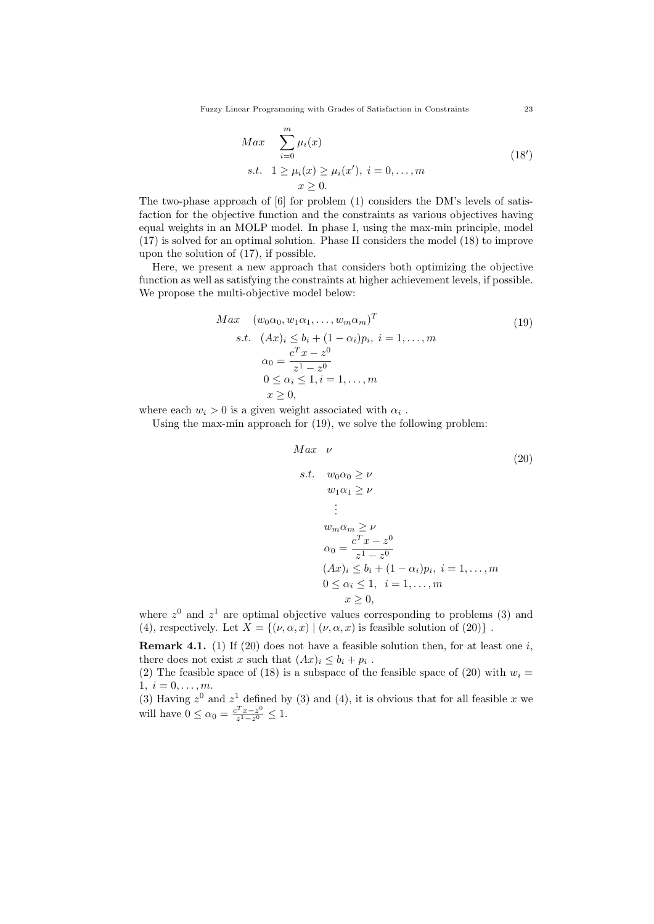Fuzzy Linear Programming with Grades of Satisfaction in Constraints 23

$$
Max \sum_{i=0}^{m} \mu_i(x)
$$
  
s.t.  $1 \ge \mu_i(x) \ge \mu_i(x')$ ,  $i = 0, ..., m$   
 $x \ge 0$ . (18')

The two-phase approach of [6] for problem (1) considers the DM's levels of satisfaction for the objective function and the constraints as various objectives having equal weights in an MOLP model. In phase I, using the max-min principle, model (17) is solved for an optimal solution. Phase II considers the model (18) to improve upon the solution of (17), if possible.

Here, we present a new approach that considers both optimizing the objective function as well as satisfying the constraints at higher achievement levels, if possible. We propose the multi-objective model below:

$$
Max \quad (w_0 \alpha_0, w_1 \alpha_1, \dots, w_m \alpha_m)^T
$$
  
s.t.  $(Ax)_i \le b_i + (1 - \alpha_i)p_i, i = 1, \dots, m$   

$$
\alpha_0 = \frac{c^T x - z^0}{z^1 - z^0}
$$
  

$$
0 \le \alpha_i \le 1, i = 1, \dots, m
$$
  
 $x \ge 0,$  (19)

where each  $w_i > 0$  is a given weight associated with  $\alpha_i$ .

Using the max-min approach for (19), we solve the following problem:

$$
Max \quad \nu
$$
\n
$$
s.t. \quad w_0 \alpha_0 \ge \nu
$$
\n
$$
w_1 \alpha_1 \ge \nu
$$
\n
$$
\vdots
$$
\n
$$
w_m \alpha_m \ge \nu
$$
\n
$$
\alpha_0 = \frac{c^T x - z^0}{z^1 - z^0}
$$
\n
$$
(Ax)_i \le b_i + (1 - \alpha_i)p_i, \ i = 1, ..., m
$$
\n
$$
0 \le \alpha_i \le 1, \ i = 1, ..., m
$$
\n
$$
x \ge 0,
$$
\n(20)

where  $z<sup>0</sup>$  and  $z<sup>1</sup>$  are optimal objective values corresponding to problems (3) and (4), respectively. Let  $X = \{(\nu, \alpha, x) | (\nu, \alpha, x)$  is feasible solution of  $(20) \}$ .

**Remark 4.1.** (1) If (20) does not have a feasible solution then, for at least one i, there does not exist x such that  $(Ax)_i \leq b_i + p_i$ .

(2) The feasible space of (18) is a subspace of the feasible space of (20) with  $w_i =$  $1, i = 0, \ldots, m.$ 

(3) Having  $z^0$  and  $z^1$  defined by (3) and (4), it is obvious that for all feasible x we will have  $0 \leq \alpha_0 = \frac{c^T x - z^0}{z^1 - z^0}$  $rac{z^x - z^0}{z^1 - z^0} \leq 1.$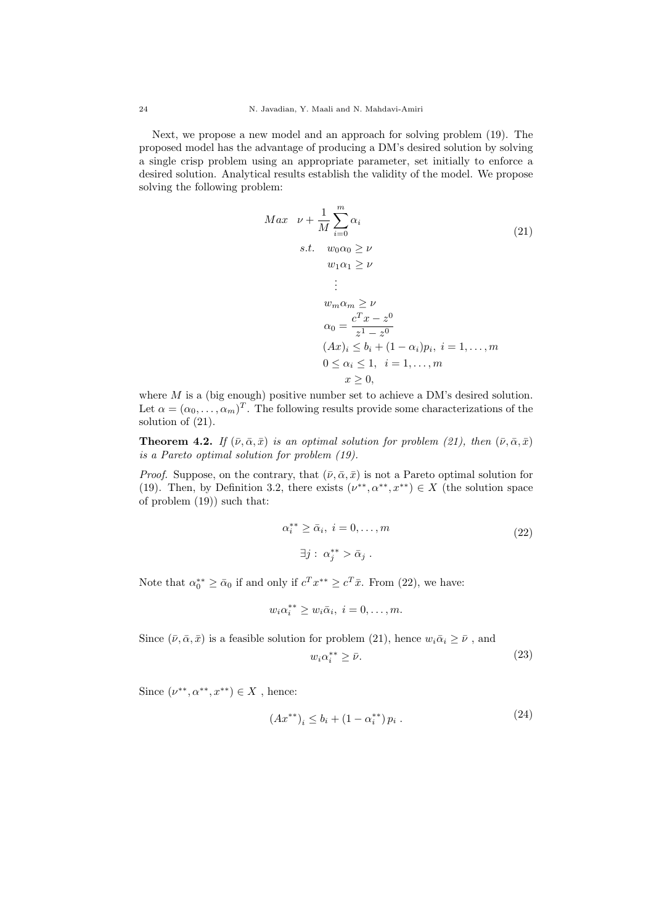Next, we propose a new model and an approach for solving problem (19). The proposed model has the advantage of producing a DM's desired solution by solving a single crisp problem using an appropriate parameter, set initially to enforce a desired solution. Analytical results establish the validity of the model. We propose solving the following problem:

$$
Max \quad \nu + \frac{1}{M} \sum_{i=0}^{m} \alpha_i
$$
\n
$$
s.t. \quad w_0 \alpha_0 \ge \nu
$$
\n
$$
w_1 \alpha_1 \ge \nu
$$
\n
$$
\vdots
$$
\n
$$
w_m \alpha_m \ge \nu
$$
\n
$$
\alpha_0 = \frac{c^T x - z^0}{z^1 - z^0}
$$
\n
$$
(Ax)_i \le b_i + (1 - \alpha_i)p_i, \ i = 1, ..., m
$$
\n
$$
0 \le \alpha_i \le 1, \ i = 1, ..., m
$$
\n
$$
x \ge 0,
$$
\n(21)

where  $M$  is a (big enough) positive number set to achieve a DM's desired solution. Let  $\alpha = (\alpha_0, \dots, \alpha_m)^T$ . The following results provide some characterizations of the solution of  $(21)$ .

**Theorem 4.2.** If  $(\bar{\nu}, \bar{\alpha}, \bar{x})$  is an optimal solution for problem (21), then  $(\bar{\nu}, \bar{\alpha}, \bar{x})$ is a Pareto optimal solution for problem (19).

*Proof.* Suppose, on the contrary, that  $(\bar{\nu}, \bar{\alpha}, \bar{x})$  is not a Pareto optimal solution for (19). Then, by Definition 3.2, there exists  $(\nu^{**}, \alpha^{**}, x^{**}) \in X$  (the solution space of problem (19)) such that:

$$
\alpha_i^{**} \ge \bar{\alpha}_i, \ i = 0, \dots, m
$$
  

$$
\exists j : \alpha_j^{**} > \bar{\alpha}_j .
$$
 (22)

Note that  $\alpha_0^{**} \ge \bar{\alpha}_0$  if and only if  $c^T x^{**} \ge c^T \bar{x}$ . From (22), we have:

$$
w_i\alpha_i^{**} \ge w_i\bar{\alpha}_i, \ i = 0, \ldots, m.
$$

Since  $(\bar{\nu}, \bar{\alpha}, \bar{x})$  is a feasible solution for problem (21), hence  $w_i\bar{\alpha}_i \ge \bar{\nu}$  , and

$$
w_i \alpha_i^{**} \ge \bar{\nu}.\tag{23}
$$

Since  $(\nu^{**}, \alpha^{**}, x^{**}) \in X$ , hence:

$$
(Ax^{**})_i \le b_i + (1 - \alpha_i^{**}) p_i . \tag{24}
$$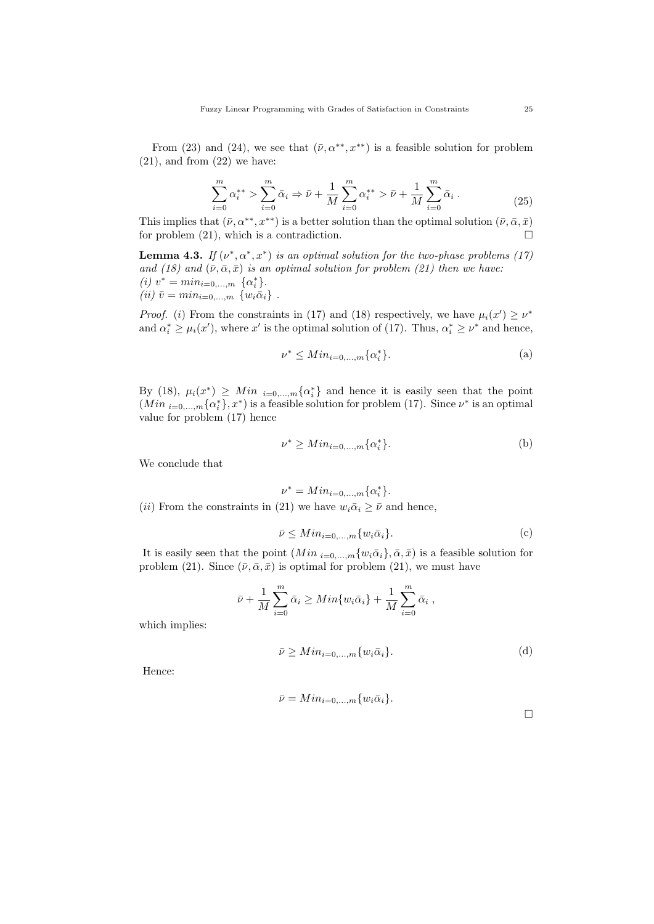From (23) and (24), we see that  $(\bar{\nu}, \alpha^{**}, x^{**})$  is a feasible solution for problem  $(21)$ , and from  $(22)$  we have:

$$
\sum_{i=0}^{m} \alpha_i^{**} > \sum_{i=0}^{m} \bar{\alpha}_i \Rightarrow \bar{\nu} + \frac{1}{M} \sum_{i=0}^{m} \alpha_i^{**} > \bar{\nu} + \frac{1}{M} \sum_{i=0}^{m} \bar{\alpha}_i.
$$
 (25)

This implies that  $(\bar{\nu}, \alpha^{**}, x^{**})$  is a better solution than the optimal solution  $(\bar{\nu}, \bar{\alpha}, \bar{x})$ for problem  $(21)$ , which is a contradiction.

**Lemma 4.3.** If  $(\nu^*, \alpha^*, x^*)$  is an optimal solution for the two-phase problems (17) and (18) and  $(\bar{\nu}, \bar{\alpha}, \bar{x})$  is an optimal solution for problem (21) then we have: (*i*)  $v^* = min_{i=0,...,m} \ \{\alpha_i^*\}.$ (*ii*)  $\bar{v} = min_{i=0,...,m} \{w_i \bar{\alpha}_i\}$ .

*Proof.* (i) From the constraints in (17) and (18) respectively, we have  $\mu_i(x') \geq \nu^*$ and  $\alpha_i^* \geq \mu_i(x')$ , where x' is the optimal solution of (17). Thus,  $\alpha_i^* \geq \nu^*$  and hence,

$$
\nu^* \leq Min_{i=0,\dots,m} \{\alpha_i^*\}.
$$
 (a)

By (18),  $\mu_i(x^*) \geq Min_{i=0,\dots,m} {\alpha_i^*}$  and hence it is easily seen that the point  $(Min_{i=0,\dots,m}\{\alpha_i^*\}, x^*)$  is a feasible solution for problem (17). Since  $\nu^*$  is an optimal value for problem (17) hence

$$
\nu^* \geq Min_{i=0,\dots,m} \{\alpha_i^*\}.
$$
 (b)

We conclude that

$$
\nu^* = Min_{i=0,\dots,m} \{ \alpha_i^* \}.
$$
  
(ii) From the constraints in (21) we have  $w_i \bar{\alpha}_i \geq \bar{\nu}$  and hence,

$$
\bar{\nu} \leq Min_{i=0,\dots,m} \{w_i \bar{\alpha}_i\}.
$$
 (c)

It is easily seen that the point  $(Min_{i=0,\dots,m}\{w_i\bar{\alpha}_i\}, \bar{\alpha}, \bar{x})$  is a feasible solution for problem (21). Since  $(\bar{\nu}, \bar{\alpha}, \bar{x})$  is optimal for problem (21), we must have

$$
\bar{\nu} + \frac{1}{M} \sum_{i=0}^{m} \bar{\alpha}_i \ge Min\{w_i \bar{\alpha}_i\} + \frac{1}{M} \sum_{i=0}^{m} \bar{\alpha}_i ,
$$

which implies:

$$
\bar{\nu} \geq Min_{i=0,\dots,m} \{w_i \bar{\alpha}_i\}.
$$
 (d)

Hence:

$$
\bar{\nu} = Min_{i=0,\dots,m} \{w_i \bar{\alpha}_i\}.
$$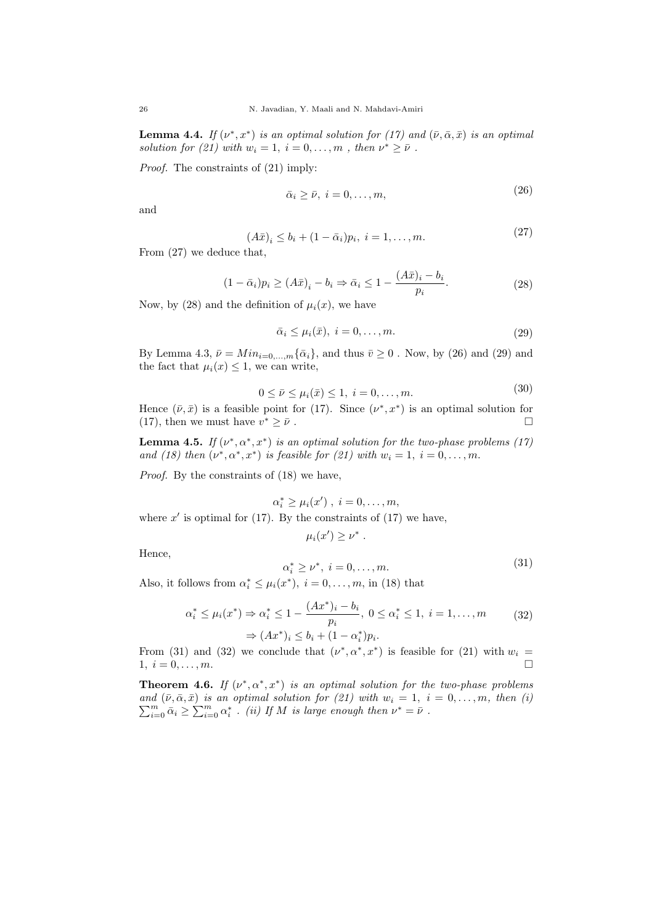**Lemma 4.4.** If  $(\nu^*, x^*)$  is an optimal solution for (17) and  $(\bar{\nu}, \bar{\alpha}, \bar{x})$  is an optimal solution for (21) with  $w_i = 1, i = 0, ..., m$ , then  $\nu^* \ge \bar{\nu}$ .

Proof. The constraints of (21) imply:

$$
\bar{\alpha}_i \ge \bar{\nu}, \ i = 0, \dots, m,
$$
\n<sup>(26)</sup>

and

$$
(A\bar{x})_i \le b_i + (1 - \bar{\alpha}_i)p_i, \ i = 1, \dots, m.
$$
 (27)

From (27) we deduce that,

$$
(1 - \bar{\alpha}_i)p_i \ge (A\bar{x})_i - b_i \Rightarrow \bar{\alpha}_i \le 1 - \frac{(A\bar{x})_i - b_i}{p_i}.
$$
\n(28)

Now, by (28) and the definition of  $\mu_i(x)$ , we have

$$
\bar{\alpha}_i \le \mu_i(\bar{x}), \ i = 0, \dots, m. \tag{29}
$$

By Lemma 4.3,  $\bar{\nu} = Min_{i=0,\dots,m} {\bar{\alpha}_i}$ , and thus  $\bar{\nu} \geq 0$ . Now, by (26) and (29) and the fact that  $\mu_i(x) \leq 1$ , we can write,

$$
0 \le \bar{\nu} \le \mu_i(\bar{x}) \le 1, \ i = 0, \dots, m. \tag{30}
$$

Hence  $(\bar{\nu}, \bar{x})$  is a feasible point for (17). Since  $(\nu^*, x^*)$  is an optimal solution for (17), then we must have  $v^* \geq \bar{\nu}$ .  $* \geq \bar{\nu}$ .

**Lemma 4.5.** If  $(\nu^*, \alpha^*, x^*)$  is an optimal solution for the two-phase problems (17) and (18) then  $(\nu^*, \alpha^*, x^*)$  is feasible for (21) with  $w_i = 1, i = 0, \ldots, m$ .

Proof. By the constraints of (18) we have,

$$
\alpha_i^* \ge \mu_i(x') , i = 0, \ldots, m,
$$

where  $x'$  is optimal for (17). By the constraints of (17) we have,

$$
\mu_i(x') \geq \nu^*
$$

Hence,

$$
\alpha_i^* \ge \nu^*, \ i = 0, \dots, m. \tag{31}
$$

Also, it follows from  $\alpha_i^* \leq \mu_i(x^*)$ ,  $i = 0, \ldots, m$ , in (18) that

$$
\alpha_i^* \le \mu_i(x^*) \Rightarrow \alpha_i^* \le 1 - \frac{(Ax^*)_i - b_i}{p_i}, \ 0 \le \alpha_i^* \le 1, \ i = 1, \dots, m \tag{32}
$$

$$
\Rightarrow (Ax^*)_i \le b_i + (1 - \alpha_i^*) p_i.
$$

.

From (31) and (32) we conclude that  $(\nu^*, \alpha^*, x^*)$  is feasible for (21) with  $w_i =$  $1, i = 0, \ldots, m.$ 

**Theorem 4.6.** If  $(\nu^*, \alpha^*, x^*)$  is an optimal solution for the two-phase problems  $\sum_{i=0}^{m} \bar{\alpha}_i \geq \sum_{i=0}^{m} \alpha_i^*$ . (ii) If M is large enough then  $\nu^* = \bar{\nu}$ . and  $(\bar{\nu}, \bar{\alpha}, \bar{x})$  is an optimal solution for (21) with  $w_i = 1, i = 0, \ldots, m$ , then (i)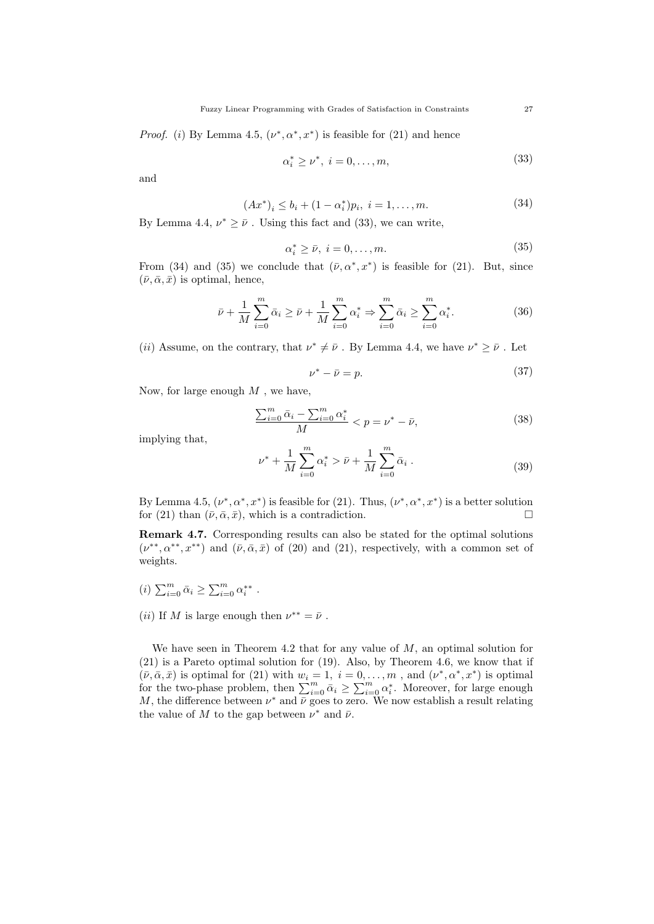*Proof.* (i) By Lemma 4.5,  $(\nu^*, \alpha^*, x^*)$  is feasible for (21) and hence

$$
\alpha_i^* \ge \nu^*, \ i = 0, \dots, m,\tag{33}
$$

and

$$
(Ax^*)_i \le b_i + (1 - \alpha_i^*)p_i, \ i = 1, \dots, m. \tag{34}
$$

By Lemma 4.4,  $\nu^* \geq \bar{\nu}$ . Using this fact and (33), we can write,

$$
\alpha_i^* \ge \bar{\nu}, \ i = 0, \dots, m. \tag{35}
$$

From (34) and (35) we conclude that  $(\bar{\nu}, \alpha^*, x^*)$  is feasible for (21). But, since  $(\bar{\nu}, \bar{\alpha}, \bar{x})$  is optimal, hence,

$$
\bar{\nu} + \frac{1}{M} \sum_{i=0}^{m} \bar{\alpha}_i \ge \bar{\nu} + \frac{1}{M} \sum_{i=0}^{m} \alpha_i^* \Rightarrow \sum_{i=0}^{m} \bar{\alpha}_i \ge \sum_{i=0}^{m} \alpha_i^*.
$$
 (36)

(*ii*) Assume, on the contrary, that  $\nu^* \neq \bar{\nu}$ . By Lemma 4.4, we have  $\nu^* \geq \bar{\nu}$ . Let

$$
\nu^* - \bar{\nu} = p. \tag{37}
$$

Now, for large enough  $M$ , we have,

$$
\frac{\sum_{i=0}^{m} \bar{\alpha}_i - \sum_{i=0}^{m} \alpha_i^*}{M} < p = \nu^* - \bar{\nu},\tag{38}
$$

implying that,

$$
\nu^* + \frac{1}{M} \sum_{i=0}^m \alpha_i^* > \bar{\nu} + \frac{1}{M} \sum_{i=0}^m \bar{\alpha}_i . \tag{39}
$$

By Lemma 4.5,  $(\nu^*, \alpha^*, x^*)$  is feasible for (21). Thus,  $(\nu^*, \alpha^*, x^*)$  is a better solution for (21) than  $(\bar{\nu}, \bar{\alpha}, \bar{x})$ , which is a contradiction.

Remark 4.7. Corresponding results can also be stated for the optimal solutions  $(\nu^{**}, \alpha^{**}, x^{**})$  and  $(\bar{\nu}, \bar{\alpha}, \bar{x})$  of (20) and (21), respectively, with a common set of weights.

- (*i*)  $\sum_{i=0}^{m} \bar{\alpha}_i \ge \sum_{i=0}^{m} \alpha_i^{**}$ .
- (*ii*) If M is large enough then  $\nu^{**} = \bar{\nu}$ .

We have seen in Theorem 4.2 that for any value of  $M$ , an optimal solution for (21) is a Pareto optimal solution for (19). Also, by Theorem 4.6, we know that if  $(\bar{\nu}, \bar{\alpha}, \bar{x})$  is optimal for (21) with  $w_i = 1, i = 0, ..., m$ , and  $(\nu^*, \alpha^*, x^*)$  is optimal for the two-phase problem, then  $\sum_{i=0}^{m} \bar{\alpha}_i \geq \sum_{i=0}^{m} \alpha_i^*$ . Moreover, for large enough M, the difference between  $\nu^*$  and  $\bar{\nu}$  goes to zero. We now establish a result relating the value of M to the gap between  $\nu^*$  and  $\bar{\nu}$ .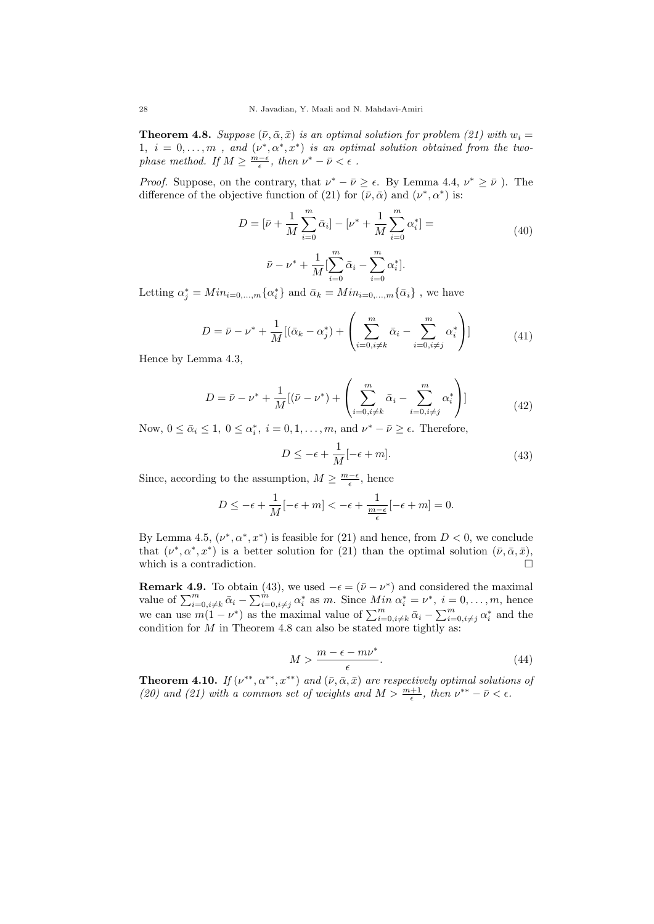**Theorem 4.8.** Suppose  $(\bar{\nu}, \bar{\alpha}, \bar{x})$  is an optimal solution for problem (21) with  $w_i =$ 1,  $i = 0, \ldots, m$ , and  $(\nu^*, \alpha^*, x^*)$  is an optimal solution obtained from the twophase method. If  $M \ge \frac{m-\epsilon}{\epsilon}$ , then  $\nu^* - \bar{\nu} < \epsilon$ .

*Proof.* Suppose, on the contrary, that  $\nu^* - \bar{\nu} \geq \epsilon$ . By Lemma 4.4,  $\nu^* \geq \bar{\nu}$ ). The difference of the objective function of (21) for  $(\bar{\nu}, \bar{\alpha})$  and  $(\nu^*, \alpha^*)$  is:

$$
D = [\bar{\nu} + \frac{1}{M} \sum_{i=0}^{m} \bar{\alpha}_{i}] - [\nu^{*} + \frac{1}{M} \sum_{i=0}^{m} \alpha_{i}^{*}] =
$$
  

$$
\bar{\nu} - \nu^{*} + \frac{1}{M} [\sum_{i=0}^{m} \bar{\alpha}_{i} - \sum_{i=0}^{m} \alpha_{i}^{*}].
$$
 (40)

Letting  $\alpha_j^* = Min_{i=0,\dots,m} {\alpha_i^*}$  and  $\bar{\alpha}_k = Min_{i=0,\dots,m} {\bar{\alpha}_i}$ , we have

$$
D = \bar{\nu} - \nu^* + \frac{1}{M} [(\bar{\alpha}_k - \alpha_j^*) + \left( \sum_{i=0, i \neq k}^m \bar{\alpha}_i - \sum_{i=0, i \neq j}^m \alpha_i^* \right)]
$$
(41)

Hence by Lemma 4.3,

$$
D = \bar{\nu} - \nu^* + \frac{1}{M} [(\bar{\nu} - \nu^*) + \left( \sum_{i=0, i \neq k}^{m} \bar{\alpha}_i - \sum_{i=0, i \neq j}^{m} \alpha_i^* \right)] \tag{42}
$$

Now,  $0 \le \bar{\alpha}_i \le 1$ ,  $0 \le \alpha_i^*$ ,  $i = 0, 1, \ldots, m$ , and  $\nu^* - \bar{\nu} \ge \epsilon$ . Therefore,

$$
D \le -\epsilon + \frac{1}{M}[-\epsilon + m].\tag{43}
$$

Since, according to the assumption,  $M \geq \frac{m-\epsilon}{\epsilon}$ , hence

$$
D \le -\epsilon + \frac{1}{M}[-\epsilon + m] < -\epsilon + \frac{1}{\frac{m-\epsilon}{\epsilon}}[-\epsilon + m] = 0.
$$

By Lemma 4.5,  $(\nu^*, \alpha^*, x^*)$  is feasible for (21) and hence, from  $D < 0$ , we conclude that  $(\nu^*, \alpha^*, x^*)$  is a better solution for (21) than the optimal solution  $(\bar{\nu}, \bar{\alpha}, \bar{x})$ , which is a contradiction.  $\Box$ 

**Remark 4.9.** To obtain (43), we used  $-\epsilon = (\bar{\nu} - \nu^*)$  and considered the maximal value of  $\sum_{i=0, i\neq k}^{m} \bar{\alpha}_i - \sum_{i=0, i\neq j}^{m} \alpha_i^*$  as m. Since  $Min \alpha_i^* = \nu^*$ ,  $i = 0, \ldots, m$ , hence we can use  $m(1-\nu^*)$  as the maximal value of  $\sum_{i=0,i\neq k}^m \bar{\alpha}_i - \sum_{i=0,i\neq j}^m \alpha_i^*$  and the condition for  $M$  in Theorem 4.8 can also be stated more tightly as:

$$
M > \frac{m - \epsilon - m\nu^*}{\epsilon}.\tag{44}
$$

**Theorem 4.10.** If  $(\nu^{**}, \alpha^{**}, x^{**})$  and  $(\bar{\nu}, \bar{\alpha}, \bar{x})$  are respectively optimal solutions of (20) and (21) with a common set of weights and  $M > \frac{m+1}{\epsilon}$ , then  $\nu^{**} - \bar{\nu} < \epsilon$ .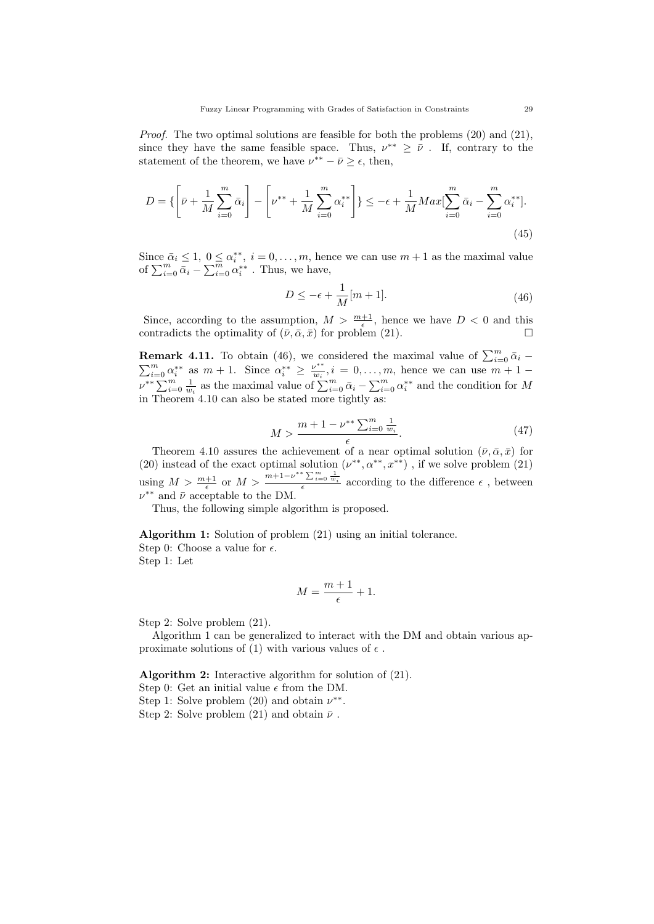*Proof.* The two optimal solutions are feasible for both the problems  $(20)$  and  $(21)$ , since they have the same feasible space. Thus,  $\nu^{**} \geq \bar{\nu}$ . If, contrary to the statement of the theorem, we have  $\nu^{**} - \bar{\nu} \geq \epsilon$ , then,

$$
D = \left\{ \left[ \bar{\nu} + \frac{1}{M} \sum_{i=0}^{m} \bar{\alpha}_i \right] - \left[ \nu^{**} + \frac{1}{M} \sum_{i=0}^{m} \alpha_i^{**} \right] \right\} \le -\epsilon + \frac{1}{M} Max \left[ \sum_{i=0}^{m} \bar{\alpha}_i - \sum_{i=0}^{m} \alpha_i^{**} \right].
$$
\n(45)

Since  $\bar{\alpha}_i \leq 1, 0 \leq \alpha_i^{**}, i = 0, \ldots, m$ , hence we can use  $m+1$  as the maximal value of  $\sum_{i=0}^{m} \bar{\alpha}_i - \sum_{i=0}^{m} \alpha_i^{**}$  . Thus, we have,

$$
D \le -\epsilon + \frac{1}{M}[m+1].\tag{46}
$$

Since, according to the assumption,  $M > \frac{m+1}{\epsilon}$ , hence we have  $D < 0$  and this contradicts the optimality of  $(\bar{\nu}, \bar{\alpha}, \bar{x})$  for problem (21).

**Remark 4.11.** To obtain (46), we considered the maximal value of  $\sum_{i=0}^{m} \bar{\alpha}_i$  –  $\sum_{i=0}^{m} \alpha_i^{**}$  as  $m+1$ . Since  $\alpha_i^{**} \ge \frac{\nu^{**}}{w_i}$  $\frac{\omega^{**}}{w_i}, i = 0, \ldots, m$ , hence we can use  $m + 1$  $\nu^{**}\sum_{i=0}^m\frac{1}{w_i}$  as the maximal value of  $\sum_{i=0}^m\bar{\alpha}_i - \sum_{i=0}^m\alpha_i^{**}$  and the condition for M in Theorem 4.10 can also be stated more tightly as:

$$
M > \frac{m + 1 - \nu^{**} \sum_{i=0}^{m} \frac{1}{w_i}}{\epsilon}.
$$
 (47)

Theorem 4.10 assures the achievement of a near optimal solution  $(\bar{\nu}, \bar{\alpha}, \bar{x})$  for (20) instead of the exact optimal solution  $(\nu^{**}, \alpha^{**}, x^{**})$ , if we solve problem (21) using  $M > \frac{m+1}{\epsilon}$  or  $M > \frac{m+1-\nu^{**}\sum_{i=0}^m \frac{1}{w_i}}{\epsilon}$  according to the difference  $\epsilon$ , between  $\nu^{**}$  and  $\bar{\nu}$  acceptable to the DM.

Thus, the following simple algorithm is proposed.

Algorithm 1: Solution of problem (21) using an initial tolerance. Step 0: Choose a value for  $\epsilon$ . Step 1: Let

$$
M = \frac{m+1}{\epsilon} + 1.
$$

Step 2: Solve problem (21).

Algorithm 1 can be generalized to interact with the DM and obtain various approximate solutions of (1) with various values of  $\epsilon$ .

Algorithm 2: Interactive algorithm for solution of (21). Step 0: Get an initial value  $\epsilon$  from the DM.

Step 1: Solve problem (20) and obtain  $\nu^{**}$ .

Step 2: Solve problem (21) and obtain  $\bar{\nu}$ .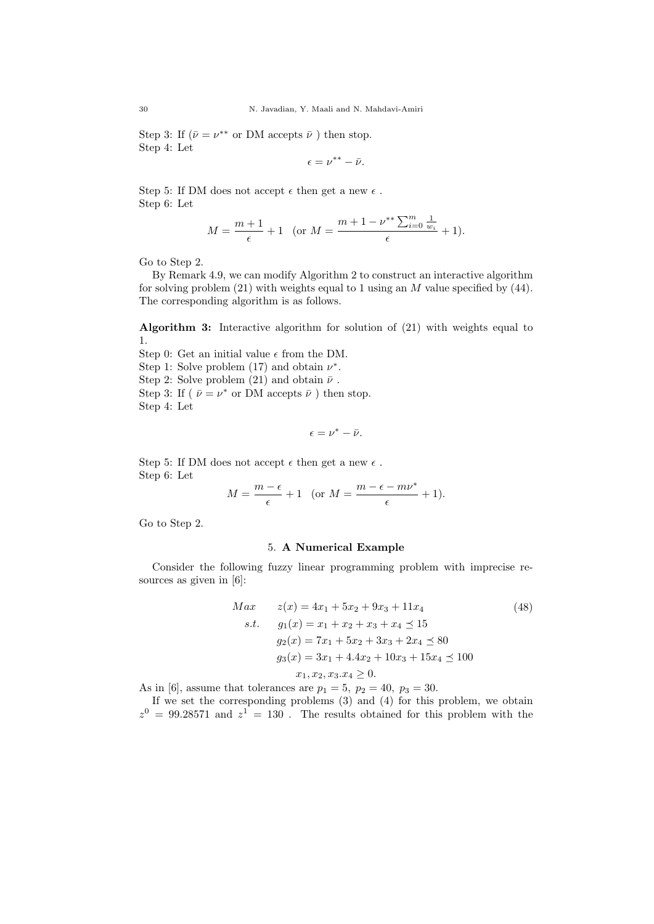Step 3: If  $(\bar{\nu} = \nu^{**} \text{ or } DM \text{ accepts } \bar{\nu})$  then stop. Step 4: Let

$$
\epsilon = \nu^{**} - \bar{\nu}.
$$

Step 5: If DM does not accept  $\epsilon$  then get a new  $\epsilon$ . Step 6: Let

$$
M = \frac{m+1}{\epsilon} + 1 \quad \text{(or } M = \frac{m+1 - \nu^{**} \sum_{i=0}^{m} \frac{1}{w_i}}{\epsilon} + 1\text{)}.
$$

Go to Step 2.

By Remark 4.9, we can modify Algorithm 2 to construct an interactive algorithm for solving problem  $(21)$  with weights equal to 1 using an M value specified by  $(44)$ . The corresponding algorithm is as follows.

Algorithm 3: Interactive algorithm for solution of (21) with weights equal to 1.

Step 0: Get an initial value  $\epsilon$  from the DM. Step 1: Solve problem (17) and obtain  $\nu^*$ . Step 2: Solve problem (21) and obtain  $\bar{\nu}$ . Step 3: If ( $\bar{\nu} = \nu^*$  or DM accepts  $\bar{\nu}$ ) then stop. Step 4: Let

$$
\epsilon=\nu^*-\bar{\nu}.
$$

Step 5: If DM does not accept  $\epsilon$  then get a new  $\epsilon$  . Step 6: Let

$$
M = \frac{m - \epsilon}{\epsilon} + 1 \quad \text{(or } M = \frac{m - \epsilon - m\nu^*}{\epsilon} + 1\text{)}.
$$

Go to Step 2.

### 5. A Numerical Example

Consider the following fuzzy linear programming problem with imprecise resources as given in [6]:

$$
Max \t z(x) = 4x_1 + 5x_2 + 9x_3 + 11x_4 \t (48)
$$
  
s.t.  $g_1(x) = x_1 + x_2 + x_3 + x_4 \le 15$   
 $g_2(x) = 7x_1 + 5x_2 + 3x_3 + 2x_4 \le 80$   
 $g_3(x) = 3x_1 + 4.4x_2 + 10x_3 + 15x_4 \le 100$   
 $x_1, x_2, x_3. x_4 \ge 0.$  (48)

As in [6], assume that tolerances are  $p_1 = 5$ ,  $p_2 = 40$ ,  $p_3 = 30$ .

If we set the corresponding problems (3) and (4) for this problem, we obtain  $z^0 = 99.28571$  and  $z^1 = 130$ . The results obtained for this problem with the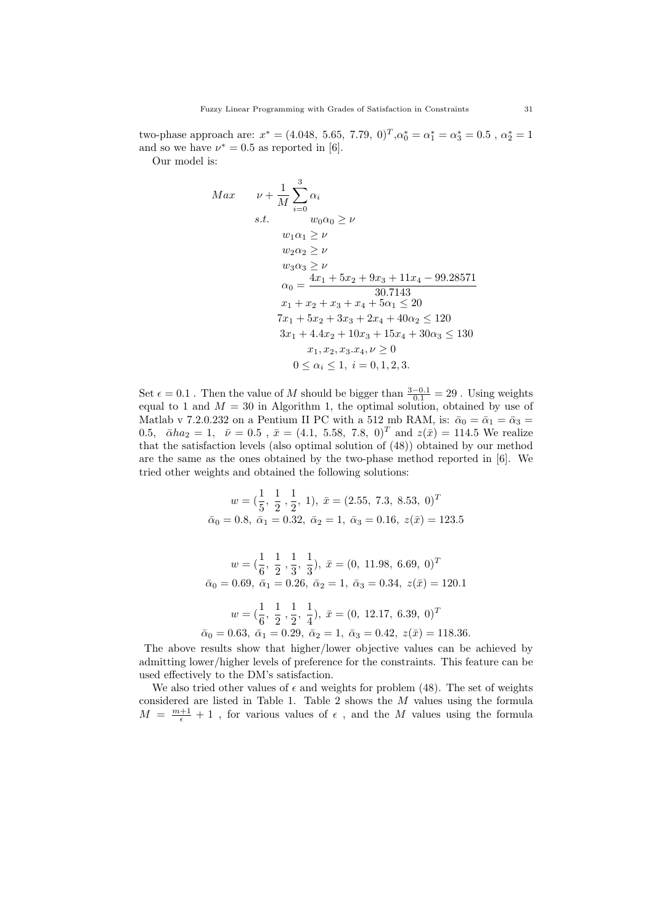two-phase approach are:  $x^* = (4.048, 5.65, 7.79, 0)^T, \alpha_0^* = \alpha_1^* = \alpha_3^* = 0.5$ ,  $\alpha_2^* = 1$ and so we have  $\nu^* = 0.5$  as reported in [6].

Our model is:

$$
Max \t\nu + \frac{1}{M} \sum_{i=0}^{3} \alpha_{i}
$$
  
s.t.  $w_{0}\alpha_{0} \ge \nu$   
 $w_{1}\alpha_{1} \ge \nu$   
 $w_{2}\alpha_{2} \ge \nu$   
 $w_{3}\alpha_{3} \ge \nu$   
 $\alpha_{0} = \frac{4x_{1} + 5x_{2} + 9x_{3} + 11x_{4} - 99.28571}{30.7143}$   
 $x_{1} + x_{2} + x_{3} + x_{4} + 5\alpha_{1} \le 20$   
 $7x_{1} + 5x_{2} + 3x_{3} + 2x_{4} + 40\alpha_{2} \le 120$   
 $3x_{1} + 4.4x_{2} + 10x_{3} + 15x_{4} + 30\alpha_{3} \le 130$   
 $x_{1}, x_{2}, x_{3}, x_{4}, \nu \ge 0$   
 $0 \le \alpha_{i} \le 1, i = 0, 1, 2, 3.$ 

Set  $\epsilon = 0.1$ . Then the value of M should be bigger than  $\frac{3-0.1}{0.1} = 29$ . Using weights equal to 1 and  $M = 30$  in Algorithm 1, the optimal solution, obtained by use of Matlab v 7.2.0.232 on a Pentium II PC with a 512 mb RAM, is:  $\bar{\alpha}_0 = \bar{\alpha}_1 = \bar{\alpha}_3 =$ 0.5,  $\bar{\alpha}h\alpha_2 = 1$ ,  $\bar{\nu} = 0.5$ ,  $\bar{x} = (4.1, 5.58, 7.8, 0)^T$  and  $z(\bar{x}) = 114.5$  We realize that the satisfaction levels (also optimal solution of (48)) obtained by our method are the same as the ones obtained by the two-phase method reported in [6]. We tried other weights and obtained the following solutions:

$$
w = (\frac{1}{5}, \frac{1}{2}, \frac{1}{2}, 1), \ \bar{x} = (2.55, 7.3, 8.53, 0)^T
$$
  

$$
\bar{\alpha}_0 = 0.8, \ \bar{\alpha}_1 = 0.32, \ \bar{\alpha}_2 = 1, \ \bar{\alpha}_3 = 0.16, \ z(\bar{x}) = 123.5
$$

$$
w = \left(\frac{1}{6}, \frac{1}{2}, \frac{1}{3}, \frac{1}{3}\right), \ \bar{x} = \left(0, 11.98, 6.69, 0\right)^{T}
$$

$$
\bar{\alpha}_0 = 0.69, \ \bar{\alpha}_1 = 0.26, \ \bar{\alpha}_2 = 1, \ \bar{\alpha}_3 = 0.34, \ z(\bar{x}) = 120.1
$$

$$
w = \left(\frac{1}{6}, \frac{1}{2}, \frac{1}{2}, \frac{1}{4}\right), \ \bar{x} = \left(0, 12.17, 6.39, 0\right)^{T}
$$

$$
\bar{\alpha}_0 = 0.63, \ \bar{\alpha}_1 = 0.29, \ \bar{\alpha}_2 = 1, \ \bar{\alpha}_3 = 0.42, \ z(\bar{x}) = 118.36.
$$

The above results show that higher/lower objective values can be achieved by admitting lower/higher levels of preference for the constraints. This feature can be used effectively to the DM's satisfaction.

We also tried other values of  $\epsilon$  and weights for problem (48). The set of weights considered are listed in Table 1. Table 2 shows the  $M$  values using the formula  $M = \frac{m+1}{\epsilon} + 1$ , for various values of  $\epsilon$ , and the M values using the formula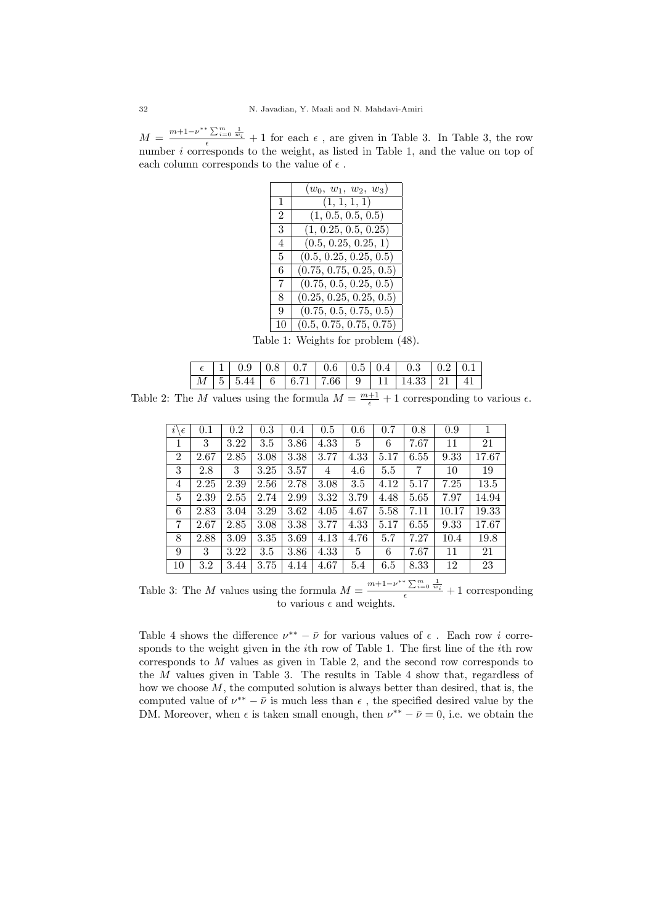$M = \frac{m+1-\nu^{**}\sum_{i=0}^m\frac{1}{w_i}}{\epsilon}+1$  for each  $\epsilon$ , are given in Table 3. In Table 3, the row number *i* corresponds to the weight, as listed in Table 1, and the value on top of each column corresponds to the value of  $\epsilon$  .

|    | $(w_0, w_1, w_2, w_3)$  |
|----|-------------------------|
| 1  | (1, 1, 1, 1)            |
| 2  | (1, 0.5, 0.5, 0.5)      |
| 3  | (1, 0.25, 0.5, 0.25)    |
| 4  | (0.5, 0.25, 0.25, 1)    |
| 5  | (0.5, 0.25, 0.25, 0.5)  |
| 6  | (0.75, 0.75, 0.25, 0.5) |
| 7  | (0.75, 0.5, 0.25, 0.5)  |
| 8  | (0.25, 0.25, 0.25, 0.5) |
| 9  | (0.75, 0.5, 0.75, 0.5)  |
| 10 | (0.5, 0.75, 0.75, 0.75) |

Table 1: Weights for problem (48).

|  |  |  |  | <i>M</i>   5   5.44   6   6.71   7.66   9   11   14.33   21   41 |  |
|--|--|--|--|------------------------------------------------------------------|--|

Table 2: The M values using the formula  $M = \frac{m+1}{\epsilon} + 1$  corresponding to various  $\epsilon$ .

| $i\bar{\setminus}$<br>$\epsilon$ | 0.1  | $0.2\,$  | 0.3  | 0.4  | 0.5  | 0.6  | 0.7  | 0.8  | 0.9   |       |
|----------------------------------|------|----------|------|------|------|------|------|------|-------|-------|
| $\mathbf{1}$                     | 3    | $3.22\,$ | 3.5  | 3.86 | 4.33 | 5    | 6    | 7.67 | 11    | 21    |
| $\overline{2}$                   | 2.67 | 2.85     | 3.08 | 3.38 | 3.77 | 4.33 | 5.17 | 6.55 | 9.33  | 17.67 |
| 3                                | 2.8  | 3        | 3.25 | 3.57 | 4    | 4.6  | 5.5  | 7    | 10    | 19    |
| 4                                | 2.25 | 2.39     | 2.56 | 2.78 | 3.08 | 3.5  | 4.12 | 5.17 | 7.25  | 13.5  |
| 5                                | 2.39 | 2.55     | 2.74 | 2.99 | 3.32 | 3.79 | 4.48 | 5.65 | 7.97  | 14.94 |
| 6                                | 2.83 | 3.04     | 3.29 | 3.62 | 4.05 | 4.67 | 5.58 | 7.11 | 10.17 | 19.33 |
| 7                                | 2.67 | 2.85     | 3.08 | 3.38 | 3.77 | 4.33 | 5.17 | 6.55 | 9.33  | 17.67 |
| 8                                | 2.88 | 3.09     | 3.35 | 3.69 | 4.13 | 4.76 | 5.7  | 7.27 | 10.4  | 19.8  |
| 9                                | 3    | 3.22     | 3.5  | 3.86 | 4.33 | 5    | 6    | 7.67 | 11    | 21    |
| 10                               | 3.2  | 3.44     | 3.75 | 4.14 | 4.67 | 5.4  | 6.5  | 8.33 | 12    | 23    |

Table 3: The M values using the formula  $M = \frac{m+1-\nu^{**}\sum_{i=0}^{m}\frac{1}{w_i}}{\epsilon} + 1$  corresponding to various  $\epsilon$  and weights.

Table 4 shows the difference  $\nu^{**} - \bar{\nu}$  for various values of  $\epsilon$ . Each row *i* corresponds to the weight given in the ith row of Table 1. The first line of the ith row corresponds to M values as given in Table 2, and the second row corresponds to the M values given in Table 3. The results in Table 4 show that, regardless of how we choose  $M$ , the computed solution is always better than desired, that is, the computed value of  $\nu^{**} - \bar{\nu}$  is much less than  $\epsilon$ , the specified desired value by the DM. Moreover, when  $\epsilon$  is taken small enough, then  $\nu^{**} - \bar{\nu} = 0$ , i.e. we obtain the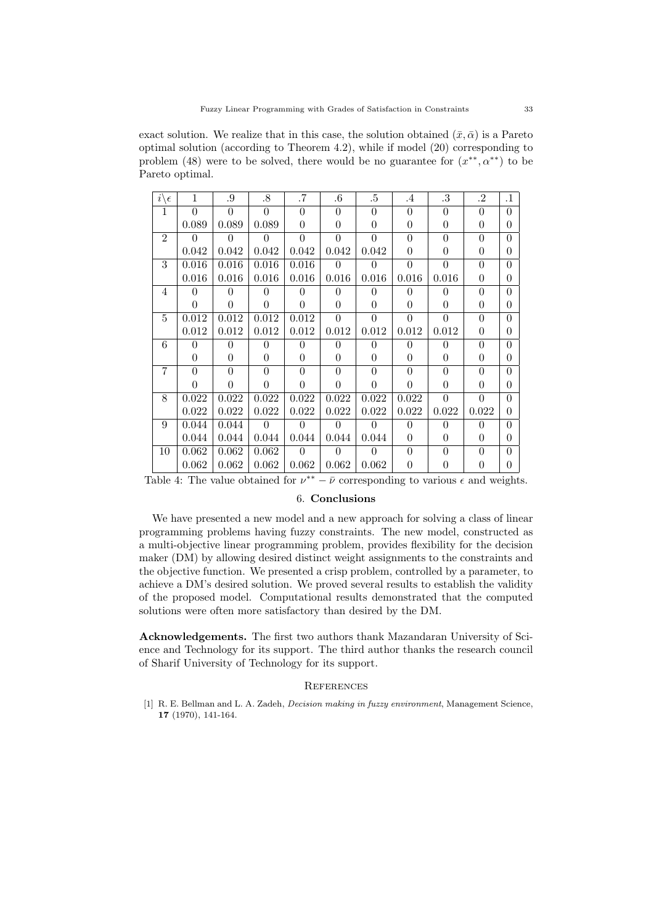exact solution. We realize that in this case, the solution obtained  $(\bar{x}, \bar{\alpha})$  is a Pareto optimal solution (according to Theorem 4.2), while if model (20) corresponding to problem (48) were to be solved, there would be no guarantee for  $(x^{**}, \alpha^{**})$  to be Pareto optimal.

| $i\setminus$<br>$\epsilon$ | 1        | .9       | .8       | .7       | $.6\,$         | .5       | $\cdot$ 4 | $.3\,$         | .2       | $\cdot$ 1 |
|----------------------------|----------|----------|----------|----------|----------------|----------|-----------|----------------|----------|-----------|
| 1                          | $\Omega$ | $\theta$ | $\theta$ | $\Omega$ | $\theta$       | $\theta$ | $\Omega$  | $\theta$       | $\Omega$ | $\Omega$  |
|                            | 0.089    | 0.089    | 0.089    | $\theta$ | $\theta$       | 0        | 0         | $\overline{0}$ | 0        | $\Omega$  |
| $\mathfrak{D}$             | $\Omega$ | $\Omega$ | 0        | $\Omega$ | $\theta$       | $\Omega$ | $\Omega$  | $\theta$       | $\Omega$ | 0         |
|                            | 0.042    | 0.042    | 0.042    | 0.042    | 0.042          | 0.042    | 0         | $\Omega$       | 0        | $\Omega$  |
| 3                          | 0.016    | 0.016    | 0.016    | 0.016    | $\theta$       | $\theta$ | $\theta$  | $\theta$       | $\Omega$ | $\Omega$  |
|                            | 0.016    | 0.016    | 0.016    | 0.016    | 0.016          | 0.016    | 0.016     | 0.016          | 0        | 0         |
| $\overline{4}$             | 0        | 0        | 0        | 0        | $\theta$       | 0        | 0         | $\Omega$       | $\Omega$ | 0         |
|                            | 0        | $\theta$ | $\theta$ | 0        | $\theta$       | $\theta$ | 0         | $\Omega$       | 0        | $\Omega$  |
| 5                          | 0.012    | 0.012    | 0.012    | 0.012    | $\theta$       | $\theta$ | $\Omega$  | $\theta$       | $\Omega$ | 0         |
|                            | 0.012    | 0.012    | 0.012    | 0.012    | 0.012          | 0.012    | 0.012     | 0.012          | 0        | 0         |
| 6                          | $\Omega$ | $\theta$ | 0        | $\theta$ | $\theta$       | 0        | $\Omega$  | $\Omega$       | $\Omega$ | 0         |
|                            | 0        | $\theta$ | $\theta$ | 0        | $\theta$       | $\theta$ | 0         | $\Omega$       | 0        | $\Omega$  |
| 7                          | $\Omega$ | $\Omega$ | $\theta$ | $\Omega$ | $\theta$       | $\Omega$ | $\Omega$  | $\theta$       | $\Omega$ | 0         |
|                            | 0        | 0        | $\theta$ | 0        | 0              | 0        | 0         | $\Omega$       | 0        | 0         |
| 8                          | 0.022    | 0.022    | 0.022    | 0.022    | 0.022          | 0.022    | 0.022     | $\theta$       | $\Omega$ | 0         |
|                            | 0.022    | 0.022    | 0.022    | 0.022    | 0.022          | 0.022    | 0.022     | 0.022          | 0.022    | 0         |
| 9                          | 0.044    | 0.044    | $\Omega$ | $\Omega$ | $\theta$       | $\theta$ | $\Omega$  | $\Omega$       | 0        | 0         |
|                            | 0.044    | 0.044    | 0.044    | 0.044    | 0.044          | 0.044    | 0         | $\Omega$       | 0        | $\Omega$  |
| 10                         | 0.062    | 0.062    | 0.062    | $\Omega$ | $\overline{0}$ | 0        | $\Omega$  | $\theta$       | 0        | 0         |
|                            | 0.062    | 0.062    | 0.062    | 0.062    | 0.062          | 0.062    | 0         | $\Omega$       | 0        |           |

Table 4: The value obtained for  $\nu^{**} - \bar{\nu}$  corresponding to various  $\epsilon$  and weights.

# 6. Conclusions

We have presented a new model and a new approach for solving a class of linear programming problems having fuzzy constraints. The new model, constructed as a multi-objective linear programming problem, provides flexibility for the decision maker (DM) by allowing desired distinct weight assignments to the constraints and the objective function. We presented a crisp problem, controlled by a parameter, to achieve a DM's desired solution. We proved several results to establish the validity of the proposed model. Computational results demonstrated that the computed solutions were often more satisfactory than desired by the DM.

Acknowledgements. The first two authors thank Mazandaran University of Science and Technology for its support. The third author thanks the research council of Sharif University of Technology for its support.

#### **REFERENCES**

[1] R. E. Bellman and L. A. Zadeh, *Decision making in fuzzy environment*, Management Science, 17 (1970), 141-164.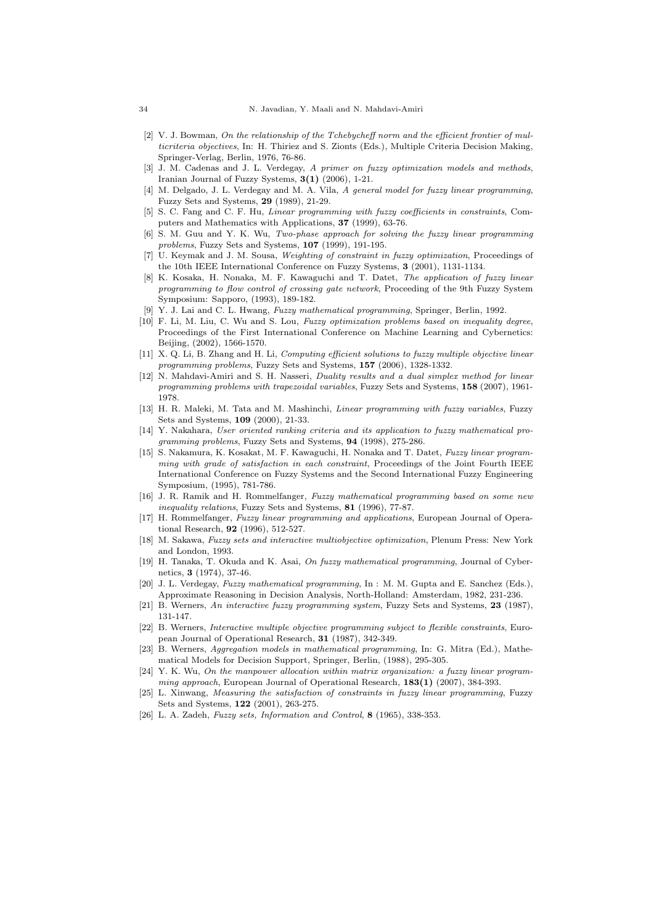- [2] V. J. Bowman, On the relationship of the Tchebycheff norm and the efficient frontier of multicriteria objectives, In: H. Thiriez and S. Zionts (Eds.), Multiple Criteria Decision Making, Springer-Verlag, Berlin, 1976, 76-86.
- [3] J. M. Cadenas and J. L. Verdegay, A primer on fuzzy optimization models and methods, Iranian Journal of Fuzzy Systems, 3(1) (2006), 1-21.
- [4] M. Delgado, J. L. Verdegay and M. A. Vila, A general model for fuzzy linear programming, Fuzzy Sets and Systems, 29 (1989), 21-29.
- [5] S. C. Fang and C. F. Hu, Linear programming with fuzzy coefficients in constraints, Computers and Mathematics with Applications, 37 (1999), 63-76.
- [6] S. M. Guu and Y. K. Wu, Two-phase approach for solving the fuzzy linear programming problems, Fuzzy Sets and Systems, 107 (1999), 191-195.
- [7] U. Keymak and J. M. Sousa, Weighting of constraint in fuzzy optimization, Proceedings of the 10th IEEE International Conference on Fuzzy Systems, 3 (2001), 1131-1134.
- [8] K. Kosaka, H. Nonaka, M. F. Kawaguchi and T. Datet, The application of fuzzy linear programming to flow control of crossing gate network, Proceeding of the 9th Fuzzy System Symposium: Sapporo, (1993), 189-182.
- [9] Y. J. Lai and C. L. Hwang, Fuzzy mathematical programming, Springer, Berlin, 1992.
- [10] F. Li, M. Liu, C. Wu and S. Lou, Fuzzy optimization problems based on inequality degree, Proceedings of the First International Conference on Machine Learning and Cybernetics: Beijing, (2002), 1566-1570.
- [11] X. Q. Li, B. Zhang and H. Li, Computing efficient solutions to fuzzy multiple objective linear programming problems, Fuzzy Sets and Systems, 157 (2006), 1328-1332.
- [12] N. Mahdavi-Amiri and S. H. Nasseri, Duality results and a dual simplex method for linear programming problems with trapezoidal variables, Fuzzy Sets and Systems, 158 (2007), 1961- 1978.
- [13] H. R. Maleki, M. Tata and M. Mashinchi, *Linear programming with fuzzy variables*, Fuzzy Sets and Systems, 109 (2000), 21-33.
- [14] Y. Nakahara, User oriented ranking criteria and its application to fuzzy mathematical programming problems, Fuzzy Sets and Systems, 94 (1998), 275-286.
- [15] S. Nakamura, K. Kosakat, M. F. Kawaguchi, H. Nonaka and T. Datet, Fuzzy linear programming with grade of satisfaction in each constraint, Proceedings of the Joint Fourth IEEE International Conference on Fuzzy Systems and the Second International Fuzzy Engineering Symposium, (1995), 781-786.
- [16] J. R. Ramik and H. Rommelfanger, Fuzzy mathematical programming based on some new inequality relations, Fuzzy Sets and Systems, 81 (1996), 77-87.
- [17] H. Rommelfanger, Fuzzy linear programming and applications, European Journal of Operational Research, 92 (1996), 512-527.
- [18] M. Sakawa, Fuzzy sets and interactive multiobjective optimization, Plenum Press: New York and London, 1993.
- [19] H. Tanaka, T. Okuda and K. Asai, On fuzzy mathematical programming, Journal of Cybernetics, 3 (1974), 37-46.
- [20] J. L. Verdegay, Fuzzy mathematical programming, In : M. M. Gupta and E. Sanchez (Eds.), Approximate Reasoning in Decision Analysis, North-Holland: Amsterdam, 1982, 231-236.
- [21] B. Werners, An interactive fuzzy programming system, Fuzzy Sets and Systems, 23 (1987), 131-147.
- [22] B. Werners, Interactive multiple objective programming subject to flexible constraints, European Journal of Operational Research, 31 (1987), 342-349.
- [23] B. Werners, Aggregation models in mathematical programming, In: G. Mitra (Ed.), Mathematical Models for Decision Support, Springer, Berlin, (1988), 295-305.
- [24] Y. K. Wu, On the manpower allocation within matrix organization: a fuzzy linear programming approach, European Journal of Operational Research,  $183(1)$  (2007), 384-393.
- [25] L. Xinwang, Measuring the satisfaction of constraints in fuzzy linear programming, Fuzzy Sets and Systems, 122 (2001), 263-275.
- [26] L. A. Zadeh, Fuzzy sets, Information and Control, 8 (1965), 338-353.